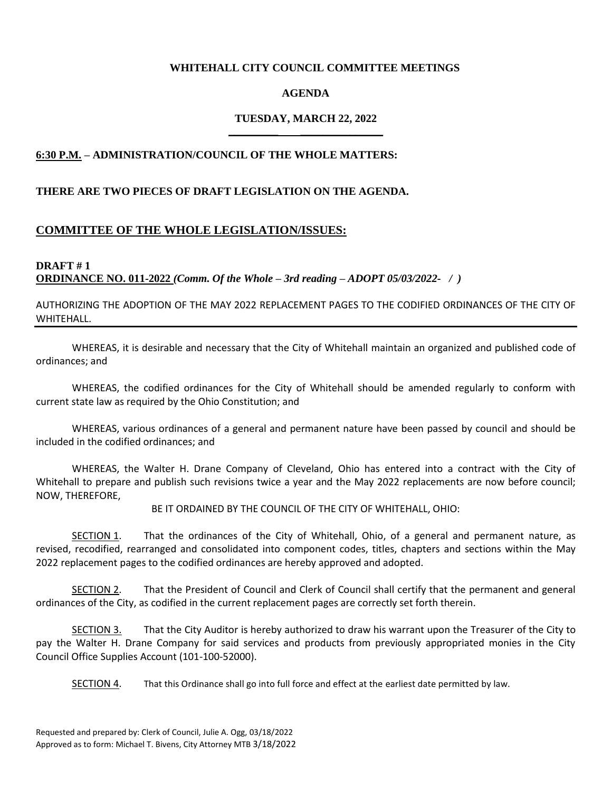#### **WHITEHALL CITY COUNCIL COMMITTEE MEETINGS**

### **AGENDA**

#### **TUESDAY, MARCH 22, 2022 \_\_\_\_\_\_\_\_\_ \_\_\_\_\_\_\_\_\_\_\_\_\_\_\_**

### **6:30 P.M. – ADMINISTRATION/COUNCIL OF THE WHOLE MATTERS:**

#### **THERE ARE TWO PIECES OF DRAFT LEGISLATION ON THE AGENDA.**

### **COMMITTEE OF THE WHOLE LEGISLATION/ISSUES:**

### **DRAFT # 1 ORDINANCE NO. 011-2022** *(Comm. Of the Whole – 3rd reading – ADOPT 05/03/2022- / )*

AUTHORIZING THE ADOPTION OF THE MAY 2022 REPLACEMENT PAGES TO THE CODIFIED ORDINANCES OF THE CITY OF WHITEHALL.

WHEREAS, it is desirable and necessary that the City of Whitehall maintain an organized and published code of ordinances; and

WHEREAS, the codified ordinances for the City of Whitehall should be amended regularly to conform with current state law as required by the Ohio Constitution; and

WHEREAS, various ordinances of a general and permanent nature have been passed by council and should be included in the codified ordinances; and

WHEREAS, the Walter H. Drane Company of Cleveland, Ohio has entered into a contract with the City of Whitehall to prepare and publish such revisions twice a year and the May 2022 replacements are now before council; NOW, THEREFORE,

BE IT ORDAINED BY THE COUNCIL OF THE CITY OF WHITEHALL, OHIO:

SECTION 1. That the ordinances of the City of Whitehall, Ohio, of a general and permanent nature, as revised, recodified, rearranged and consolidated into component codes, titles, chapters and sections within the May 2022 replacement pages to the codified ordinances are hereby approved and adopted.

SECTION 2. That the President of Council and Clerk of Council shall certify that the permanent and general ordinances of the City, as codified in the current replacement pages are correctly set forth therein.

SECTION 3. That the City Auditor is hereby authorized to draw his warrant upon the Treasurer of the City to pay the Walter H. Drane Company for said services and products from previously appropriated monies in the City Council Office Supplies Account (101-100-52000).

SECTION 4. That this Ordinance shall go into full force and effect at the earliest date permitted by law.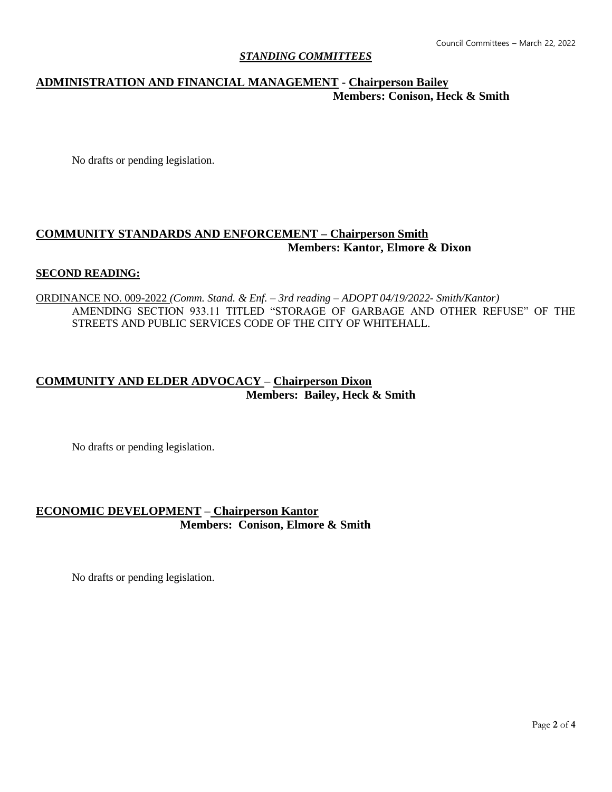### *STANDING COMMITTEES*

# **ADMINISTRATION AND FINANCIAL MANAGEMENT - Chairperson Bailey Members: Conison, Heck & Smith**

No drafts or pending legislation.

## **COMMUNITY STANDARDS AND ENFORCEMENT – Chairperson Smith Members: Kantor, Elmore & Dixon**

### **SECOND READING:**

ORDINANCE NO. 009-2022 *(Comm. Stand. & Enf. – 3rd reading – ADOPT 04/19/2022- Smith/Kantor)* AMENDING SECTION 933.11 TITLED "STORAGE OF GARBAGE AND OTHER REFUSE" OF THE STREETS AND PUBLIC SERVICES CODE OF THE CITY OF WHITEHALL.

# **COMMUNITY AND ELDER ADVOCACY – Chairperson Dixon Members: Bailey, Heck & Smith**

No drafts or pending legislation.

# **ECONOMIC DEVELOPMENT – Chairperson Kantor Members: Conison, Elmore & Smith**

No drafts or pending legislation.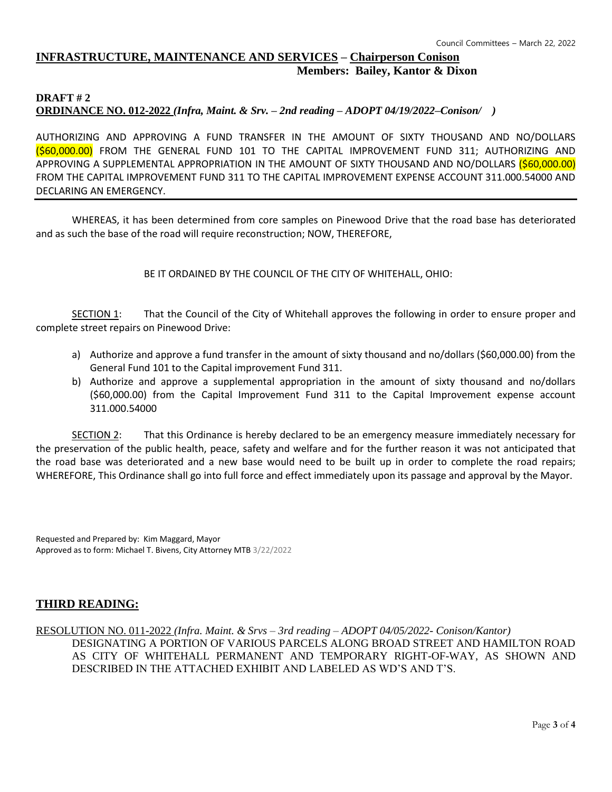## **INFRASTRUCTURE, MAINTENANCE AND SERVICES – Chairperson Conison Members: Bailey, Kantor & Dixon**

#### **DRAFT # 2 ORDINANCE NO. 012-2022** *(Infra, Maint. & Srv. – 2nd reading – ADOPT 04/19/2022–Conison/ )*

AUTHORIZING AND APPROVING A FUND TRANSFER IN THE AMOUNT OF SIXTY THOUSAND AND NO/DOLLARS (\$60,000.00) FROM THE GENERAL FUND 101 TO THE CAPITAL IMPROVEMENT FUND 311; AUTHORIZING AND APPROVING A SUPPLEMENTAL APPROPRIATION IN THE AMOUNT OF SIXTY THOUSAND AND NO/DOLLARS (\$60,000.00) FROM THE CAPITAL IMPROVEMENT FUND 311 TO THE CAPITAL IMPROVEMENT EXPENSE ACCOUNT 311.000.54000 AND DECLARING AN EMERGENCY.

WHEREAS, it has been determined from core samples on Pinewood Drive that the road base has deteriorated and as such the base of the road will require reconstruction; NOW, THEREFORE,

BE IT ORDAINED BY THE COUNCIL OF THE CITY OF WHITEHALL, OHIO:

SECTION 1: That the Council of the City of Whitehall approves the following in order to ensure proper and complete street repairs on Pinewood Drive:

- a) Authorize and approve a fund transfer in the amount of sixty thousand and no/dollars (\$60,000.00) from the General Fund 101 to the Capital improvement Fund 311.
- b) Authorize and approve a supplemental appropriation in the amount of sixty thousand and no/dollars (\$60,000.00) from the Capital Improvement Fund 311 to the Capital Improvement expense account 311.000.54000

SECTION 2: That this Ordinance is hereby declared to be an emergency measure immediately necessary for the preservation of the public health, peace, safety and welfare and for the further reason it was not anticipated that the road base was deteriorated and a new base would need to be built up in order to complete the road repairs; WHEREFORE, This Ordinance shall go into full force and effect immediately upon its passage and approval by the Mayor.

Requested and Prepared by: Kim Maggard, Mayor Approved as to form: Michael T. Bivens, City Attorney MTB 3/22/2022

### **THIRD READING:**

RESOLUTION NO. 011-2022 *(Infra. Maint. & Srvs – 3rd reading – ADOPT 04/05/2022- Conison/Kantor)* DESIGNATING A PORTION OF VARIOUS PARCELS ALONG BROAD STREET AND HAMILTON ROAD AS CITY OF WHITEHALL PERMANENT AND TEMPORARY RIGHT-OF-WAY, AS SHOWN AND DESCRIBED IN THE ATTACHED EXHIBIT AND LABELED AS WD'S AND T'S.